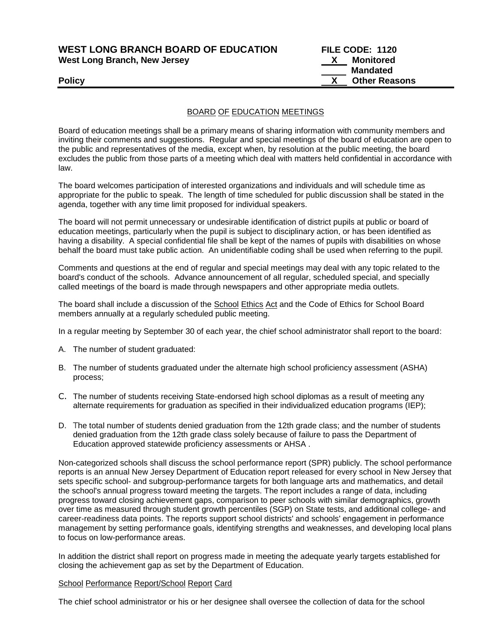| <b>WEST LONG BRANCH BOARD OF EDUCATION</b> |  |
|--------------------------------------------|--|
| West Long Branch, New Jersey               |  |

**FILE CODE: 1120 X** Monitored  **Mandated Policy COMPONE CONSUMING THE CONSUMPOSE OF A SET OF A SET OF A SET OF A SET OF A SET OF A SET OF A SET OF A SET OF A SET OF A SET OF A SET OF A SET OF A SET OF A SET OF A SET OF A SET OF A SET OF A SET OF A SET OF A SET** 

### BOARD OF EDUCATION MEETINGS

Board of education meetings shall be a primary means of sharing information with community members and inviting their comments and suggestions. Regular and special meetings of the board of education are open to the public and representatives of the media, except when, by resolution at the public meeting, the board excludes the public from those parts of a meeting which deal with matters held confidential in accordance with law.

The board welcomes participation of interested organizations and individuals and will schedule time as appropriate for the public to speak. The length of time scheduled for public discussion shall be stated in the agenda, together with any time limit proposed for individual speakers.

The board will not permit unnecessary or undesirable identification of district pupils at public or board of education meetings, particularly when the pupil is subject to disciplinary action, or has been identified as having a disability. A special confidential file shall be kept of the names of pupils with disabilities on whose behalf the board must take public action. An unidentifiable coding shall be used when referring to the pupil.

Comments and questions at the end of regular and special meetings may deal with any topic related to the board's conduct of the schools. Advance announcement of all regular, scheduled special, and specially called meetings of the board is made through newspapers and other appropriate media outlets.

The board shall include a discussion of the School Ethics Act and the Code of Ethics for School Board members annually at a regularly scheduled public meeting.

In a regular meeting by September 30 of each year, the chief school administrator shall report to the board:

- A. The number of student graduated:
- B. The number of students graduated under the alternate high school proficiency assessment (ASHA) process;
- C. The number of students receiving State-endorsed high school diplomas as a result of meeting any alternate requirements for graduation as specified in their individualized education programs (IEP);
- D. The total number of students denied graduation from the 12th grade class; and the number of students denied graduation from the 12th grade class solely because of failure to pass the Department of Education approved statewide proficiency assessments or AHSA .

Non-categorized schools shall discuss the school performance report (SPR) publicly. The school performance reports is an annual New Jersey Department of Education report released for every school in New Jersey that sets specific school- and subgroup-performance targets for both language arts and mathematics, and detail the school's annual progress toward meeting the targets. The report includes a range of data, including progress toward closing achievement gaps, comparison to peer schools with similar demographics, growth over time as measured through student growth percentiles (SGP) on State tests, and additional college- and career-readiness data points. The reports support school districts' and schools' engagement in performance management by setting performance goals, identifying strengths and weaknesses, and developing local plans to focus on low-performance areas.

In addition the district shall report on progress made in meeting the adequate yearly targets established for closing the achievement gap as set by the Department of Education.

#### School Performance Report/School Report Card

The chief school administrator or his or her designee shall oversee the collection of data for the school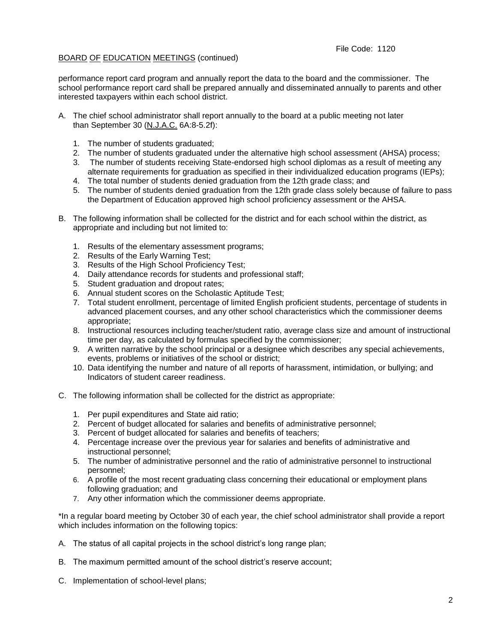## BOARD OF EDUCATION MEETINGS (continued)

performance report card program and annually report the data to the board and the commissioner. The school performance report card shall be prepared annually and disseminated annually to parents and other interested taxpayers within each school district.

- A. The chief school administrator shall report annually to the board at a public meeting not later than September 30 (N.J.A.C. 6A:8-5.2f):
	- 1. The number of students graduated;
	- 2. The number of students graduated under the alternative high school assessment (AHSA) process;
	- 3. The number of students receiving State-endorsed high school diplomas as a result of meeting any alternate requirements for graduation as specified in their individualized education programs (IEPs);
	- 4. The total number of students denied graduation from the 12th grade class; and
	- 5. The number of students denied graduation from the 12th grade class solely because of failure to pass the Department of Education approved high school proficiency assessment or the AHSA.
- B. The following information shall be collected for the district and for each school within the district, as appropriate and including but not limited to:
	- 1. Results of the elementary assessment programs;
	- 2. Results of the Early Warning Test;
	- 3. Results of the High School Proficiency Test;
	- 4. Daily attendance records for students and professional staff;
	- 5. Student graduation and dropout rates;
	- 6. Annual student scores on the Scholastic Aptitude Test;
	- 7. Total student enrollment, percentage of limited English proficient students, percentage of students in advanced placement courses, and any other school characteristics which the commissioner deems appropriate;
	- 8. Instructional resources including teacher/student ratio, average class size and amount of instructional time per day, as calculated by formulas specified by the commissioner;
	- 9. A written narrative by the school principal or a designee which describes any special achievements, events, problems or initiatives of the school or district;
	- 10. Data identifying the number and nature of all reports of harassment, intimidation, or bullying; and Indicators of student career readiness.
- C. The following information shall be collected for the district as appropriate:
	- 1. Per pupil expenditures and State aid ratio;
	- 2. Percent of budget allocated for salaries and benefits of administrative personnel;
	- 3. Percent of budget allocated for salaries and benefits of teachers;
	- 4. Percentage increase over the previous year for salaries and benefits of administrative and instructional personnel;
	- 5. The number of administrative personnel and the ratio of administrative personnel to instructional personnel;
	- 6. A profile of the most recent graduating class concerning their educational or employment plans following graduation; and
	- 7. Any other information which the commissioner deems appropriate.

\*In a regular board meeting by October 30 of each year, the chief school administrator shall provide a report which includes information on the following topics:

- A. The status of all capital projects in the school district's long range plan;
- B. The maximum permitted amount of the school district's reserve account;
- C. Implementation of school-level plans;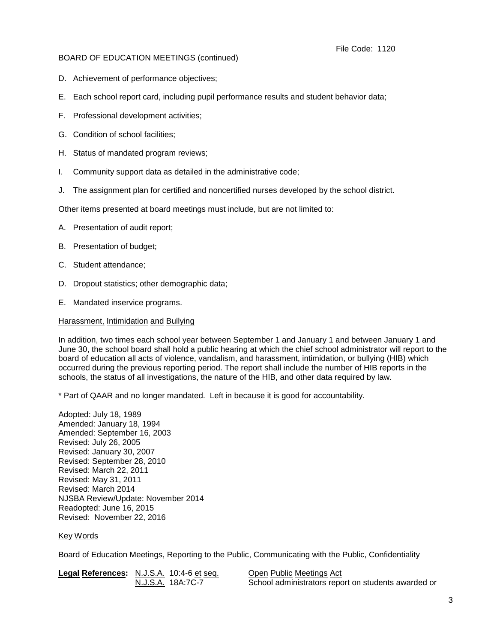## BOARD OF EDUCATION MEETINGS (continued)

- D. Achievement of performance objectives;
- E. Each school report card, including pupil performance results and student behavior data;
- F. Professional development activities;
- G. Condition of school facilities;
- H. Status of mandated program reviews;
- I. Community support data as detailed in the administrative code;
- J. The assignment plan for certified and noncertified nurses developed by the school district.

Other items presented at board meetings must include, but are not limited to:

- A. Presentation of audit report;
- B. Presentation of budget;
- C. Student attendance;
- D. Dropout statistics; other demographic data;
- E. Mandated inservice programs.

#### Harassment, Intimidation and Bullying

In addition, two times each school year between September 1 and January 1 and between January 1 and June 30, the school board shall hold a public hearing at which the chief school administrator will report to the board of education all acts of violence, vandalism, and harassment, intimidation, or bullying (HIB) which occurred during the previous reporting period. The report shall include the number of HIB reports in the schools, the status of all investigations, the nature of the HIB, and other data required by law.

\* Part of QAAR and no longer mandated. Left in because it is good for accountability.

Adopted: July 18, 1989 Amended: January 18, 1994 Amended: September 16, 2003 Revised: July 26, 2005 Revised: January 30, 2007 Revised: September 28, 2010 Revised: March 22, 2011 Revised: May 31, 2011 Revised: March 2014 NJSBA Review/Update: November 2014 Readopted: June 16, 2015 Revised: November 22, 2016

## Key Words

Board of Education Meetings, Reporting to the Public, Communicating with the Public, Confidentiality

| Legal References: N.J.S.A. 10:4-6 et seq. | Open Public Meetings Act                            |
|-------------------------------------------|-----------------------------------------------------|
| N.J.S.A. 18A:7C-7                         | School administrators report on students awarded or |